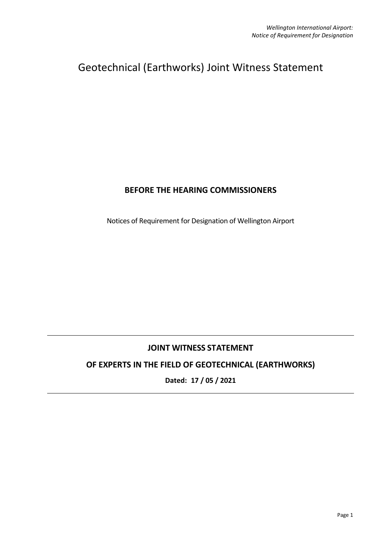# Geotechnical (Earthworks) Joint Witness Statement

# **BEFORE THE HEARING COMMISSIONERS**

Notices of Requirement for Designation of Wellington Airport

# **JOINT WITNESS STATEMENT**

# **OF EXPERTS IN THE FIELD OF GEOTECHNICAL (EARTHWORKS)**

**Dated: 17 / 05 / 2021**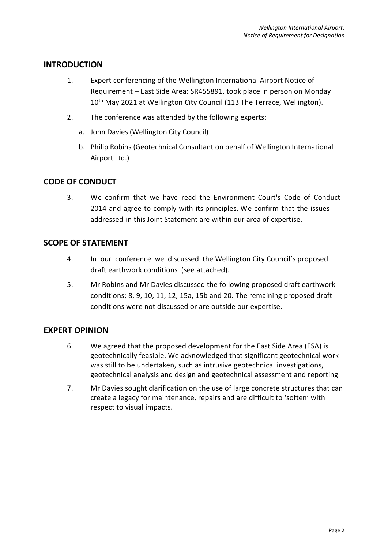### **INTRODUCTION**

- 1. Expert conferencing of the Wellington International Airport Notice of Requirement – East Side Area: SR455891, took place in person on Monday 10<sup>th</sup> May 2021 at Wellington City Council (113 The Terrace, Wellington).
- 2. The conference was attended by the following experts:
	- a. John Davies (Wellington City Council)
	- b. Philip Robins (Geotechnical Consultant on behalf of Wellington International Airport Ltd.)

## **CODE OF CONDUCT**

3. We confirm that we have read the Environment Court's Code of Conduct 2014 and agree to comply with its principles. We confirm that the issues addressed in this Joint Statement are within our area of expertise.

#### **SCOPE OF STATEMENT**

- 4. In our conference we discussed the Wellington City Council's proposed draft earthwork conditions (see attached).
- 5. Mr Robins and Mr Davies discussed the following proposed draft earthwork conditions; 8, 9, 10, 11, 12, 15a, 15b and 20. The remaining proposed draft conditions were not discussed or are outside our expertise.

#### **EXPERT OPINION**

- 6. We agreed that the proposed development for the East Side Area (ESA) is geotechnically feasible. We acknowledged that significant geotechnical work was still to be undertaken, such as intrusive geotechnical investigations, geotechnical analysis and design and geotechnical assessment and reporting
- 7. Mr Davies sought clarification on the use of large concrete structures that can create a legacy for maintenance, repairs and are difficult to 'soften' with respect to visual impacts.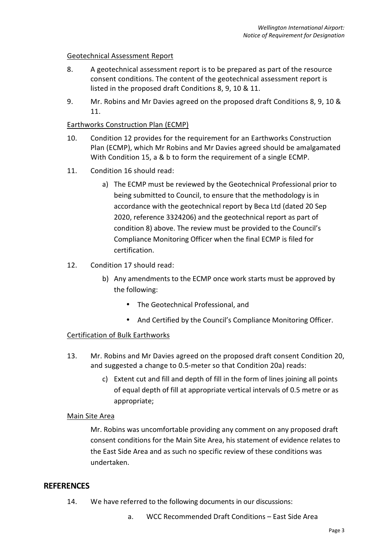#### Geotechnical Assessment Report

- 8. A geotechnical assessment report is to be prepared as part of the resource consent conditions. The content of the geotechnical assessment report is listed in the proposed draft Conditions 8, 9, 10 & 11.
- 9. Mr. Robins and Mr Davies agreed on the proposed draft Conditions 8, 9, 10 & 11.

#### Earthworks Construction Plan (ECMP)

- 10. Condition 12 provides for the requirement for an Earthworks Construction Plan (ECMP), which Mr Robins and Mr Davies agreed should be amalgamated With Condition 15, a & b to form the requirement of a single ECMP.
- 11. Condition 16 should read:
	- a) The ECMP must be reviewed by the Geotechnical Professional prior to being submitted to Council, to ensure that the methodology is in accordance with the geotechnical report by Beca Ltd (dated 20 Sep 2020, reference 3324206) and the geotechnical report as part of condition 8) above. The review must be provided to the Council's Compliance Monitoring Officer when the final ECMP is filed for certification.
- 12. Condition 17 should read:
	- b) Any amendments to the ECMP once work starts must be approved by the following:
		- The Geotechnical Professional, and
		- And Certified by the Council's Compliance Monitoring Officer.

#### Certification of Bulk Earthworks

- 13. Mr. Robins and Mr Davies agreed on the proposed draft consent Condition 20, and suggested a change to 0.5-meter so that Condition 20a) reads:
	- c) Extent cut and fill and depth of fill in the form of lines joining all points of equal depth of fill at appropriate vertical intervals of 0.5 metre or as appropriate;

#### Main Site Area

Mr. Robins was uncomfortable providing any comment on any proposed draft consent conditions for the Main Site Area, his statement of evidence relates to the East Side Area and as such no specific review of these conditions was undertaken.

#### **REFERENCES**

- 14. We have referred to the following documents in our discussions:
	- a. WCC Recommended Draft Conditions East Side Area